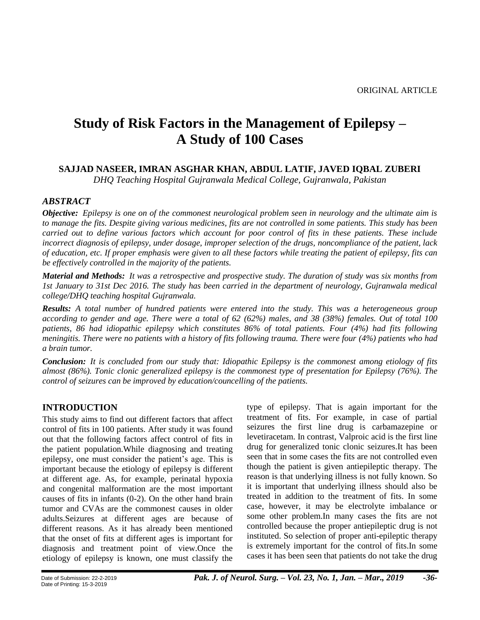# **Study of Risk Factors in the Management of Epilepsy – A Study of 100 Cases**

# **SAJJAD NASEER, IMRAN ASGHAR KHAN, ABDUL LATIF, JAVED IQBAL ZUBERI**

*DHQ Teaching Hospital Gujranwala Medical College, Gujranwala, Pakistan*

# *ABSTRACT*

*Objective: Epilepsy is one on of the commonest neurological problem seen in neurology and the ultimate aim is to manage the fits. Despite giving various medicines, fits are not controlled in some patients. This study has been carried out to define various factors which account for poor control of fits in these patients. These include incorrect diagnosis of epilepsy, under dosage, improper selection of the drugs, noncompliance of the patient, lack of education, etc. If proper emphasis were given to all these factors while treating the patient of epilepsy, fits can be effectively controlled in the majority of the patients.*

*Material and Methods: It was a retrospective and prospective study. The duration of study was six months from 1st January to 31st Dec 2016. The study has been carried in the department of neurology, Gujranwala medical college/DHQ teaching hospital Gujranwala.*

*Results: A total number of hundred patients were entered into the study. This was a heterogeneous group according to gender and age. There were a total of 62 (62%) males, and 38 (38%) females. Out of total 100 patients, 86 had idiopathic epilepsy which constitutes 86% of total patients. Four (4%) had fits following meningitis. There were no patients with a history of fits following trauma. There were four (4%) patients who had a brain tumor.*

*Conclusion: It is concluded from our study that: Idiopathic Epilepsy is the commonest among etiology of fits almost (86%). Tonic clonic generalized epilepsy is the commonest type of presentation for Epilepsy (76%). The control of seizures can be improved by education/councelling of the patients.*

# **INTRODUCTION**

This study aims to find out different factors that affect control of fits in 100 patients. After study it was found out that the following factors affect control of fits in the patient population.While diagnosing and treating epilepsy, one must consider the patient's age. This is important because the etiology of epilepsy is different at different age. As, for example, perinatal hypoxia and congenital malformation are the most important causes of fits in infants (0-2). On the other hand brain tumor and CVAs are the commonest causes in older adults.Seizures at different ages are because of different reasons. As it has already been mentioned that the onset of fits at different ages is important for diagnosis and treatment point of view.Once the etiology of epilepsy is known, one must classify the

type of epilepsy. That is again important for the treatment of fits. For example, in case of partial seizures the first line drug is carbamazepine or levetiracetam. In contrast, Valproic acid is the first line drug for generalized tonic clonic seizures.It has been seen that in some cases the fits are not controlled even though the patient is given antiepileptic therapy. The reason is that underlying illness is not fully known. So it is important that underlying illness should also be treated in addition to the treatment of fits. In some case, however, it may be electrolyte imbalance or some other problem.In many cases the fits are not controlled because the proper antiepileptic drug is not instituted. So selection of proper anti-epileptic therapy is extremely important for the control of fits.In some cases it has been seen that patients do not take the drug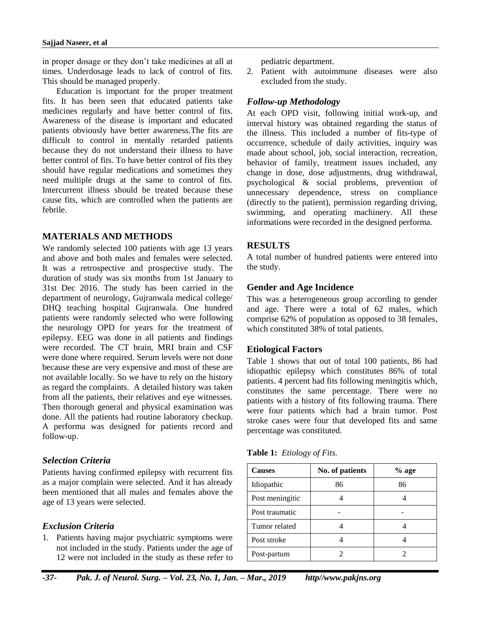in proper dosage or they don't take medicines at all at times. Underdosage leads to lack of control of fits. This should be managed properly.

Education is important for the proper treatment fits. It has been seen that educated patients take medicines regularly and have better control of fits. Awareness of the disease is important and educated patients obviously have better awareness.The fits are difficult to control in mentally retarded patients because they do not understand their illness to have better control of fits. To have better control of fits they should have regular medications and sometimes they need multiple drugs at the same to control of fits. Intercurrent illness should be treated because these cause fits, which are controlled when the patients are febrile.

# **MATERIALS AND METHODS**

We randomly selected 100 patients with age 13 years and above and both males and females were selected. It was a retrospective and prospective study. The duration of study was six months from 1st January to 31st Dec 2016. The study has been carried in the department of neurology, Gujranwala medical college/ DHQ teaching hospital Gujranwala. One hundred patients were randomly selected who were following the neurology OPD for years for the treatment of epilepsy. EEG was done in all patients and findings were recorded. The CT brain, MRI brain and CSF were done where required. Serum levels were not done because these are very expensive and most of these are not available locally. So we have to rely on the history as regard the complaints. A detailed history was taken from all the patients, their relatives and eye witnesses. Then thorough general and physical examination was done. All the patients had routine laboratory checkup. A performa was designed for patients record and follow-up.

#### *Selection Criteria*

Patients having confirmed epilepsy with recurrent fits as a major complain were selected. And it has already been mentioned that all males and females above the age of 13 years were selected.

# *Exclusion Criteria*

1. Patients having major psychiatric symptoms were not included in the study. Patients under the age of 12 were not included in the study as these refer to

pediatric department.

2. Patient with autoimmune diseases were also excluded from the study.

#### *Follow-up Methodology*

At each OPD visit, following initial work-up, and interval history was obtained regarding the status of the illness. This included a number of fits-type of occurrence, schedule of daily activities, inquiry was made about school, job, social interaction, recreation, behavior of family, treatment issues included, any change in dose, dose adjustments, drug withdrawal, psychological & social problems, prevention of unnecessary dependence, stress on compliance (directly to the patient), permission regarding driving, swimming, and operating machinery. All these informations were recorded in the designed performa.

# **RESULTS**

A total number of hundred patients were entered into the study.

#### **Gender and Age Incidence**

This was a heterogeneous group according to gender and age. There were a total of 62 males, which comprise 62% of population as opposed to 38 females, which constituted 38% of total patients.

# **Etiological Factors**

Table 1 shows that out of total 100 patients, 86 had idiopathic epilepsy which constitutes 86% of total patients. 4 percent had fits following meningitis which, constitutes the same percentage. There were no patients with a history of fits following trauma. There were four patients which had a brain tumor. Post stroke cases were four that developed fits and same percentage was constituted.

|  | <b>Table 1:</b> <i>Etiology of Fits.</i> |  |
|--|------------------------------------------|--|
|--|------------------------------------------|--|

| <b>Causes</b>   | No. of patients | $%$ age |
|-----------------|-----------------|---------|
| Idiopathic      | 86              | 86      |
| Post meningitic |                 |         |
| Post traumatic  |                 |         |
| Tumor related   |                 |         |
| Post stroke     |                 |         |
| Post-partum     |                 |         |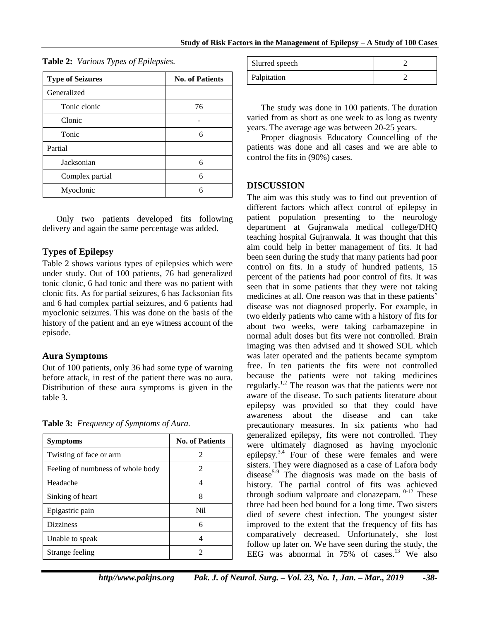| <b>Type of Seizures</b> | <b>No. of Patients</b> |
|-------------------------|------------------------|
| Generalized             |                        |
| Tonic clonic            | 76                     |
| Clonic                  |                        |
| Tonic                   | 6                      |
| Partial                 |                        |
| Jacksonian              | 6                      |
| Complex partial         | 6                      |
| Myoclonic               | 6                      |

**Table 2:** *Various Types of Epilepsies.*

Only two patients developed fits following delivery and again the same percentage was added.

# **Types of Epilepsy**

Table 2 shows various types of epilepsies which were under study. Out of 100 patients, 76 had generalized tonic clonic, 6 had tonic and there was no patient with clonic fits. As for partial seizures, 6 has Jacksonian fits and 6 had complex partial seizures, and 6 patients had myoclonic seizures. This was done on the basis of the history of the patient and an eye witness account of the episode.

# **Aura Symptoms**

Out of 100 patients, only 36 had some type of warning before attack, in rest of the patient there was no aura. Distribution of these aura symptoms is given in the table 3.

**Table 3:** *Frequency of Symptoms of Aura.*

| <b>Symptoms</b>                   | <b>No. of Patients</b> |
|-----------------------------------|------------------------|
| Twisting of face or arm           | 2                      |
| Feeling of numbness of whole body | 2                      |
| Headache                          | 4                      |
| Sinking of heart                  | 8                      |
| Epigastric pain                   | Nil                    |
| <b>Dizziness</b>                  | 6                      |
| Unable to speak                   | 4                      |
| Strange feeling                   | 2                      |

| Slurred speech |  |
|----------------|--|
| Palpitation    |  |

The study was done in 100 patients. The duration varied from as short as one week to as long as twenty years. The average age was between 20-25 years.

Proper diagnosis Educatory Councelling of the patients was done and all cases and we are able to control the fits in (90%) cases.

# **DISCUSSION**

The aim was this study was to find out prevention of different factors which affect control of epilepsy in patient population presenting to the neurology department at Gujranwala medical college/DHQ teaching hospital Gujranwala. It was thought that this aim could help in better management of fits. It had been seen during the study that many patients had poor control on fits. In a study of hundred patients, 15 percent of the patients had poor control of fits. It was seen that in some patients that they were not taking medicines at all. One reason was that in these patients' disease was not diagnosed properly. For example, in two elderly patients who came with a history of fits for about two weeks, were taking carbamazepine in normal adult doses but fits were not controlled. Brain imaging was then advised and it showed SOL which was later operated and the patients became symptom free. In ten patients the fits were not controlled because the patients were not taking medicines regularly.<sup>1,2</sup> The reason was that the patients were not aware of the disease. To such patients literature about epilepsy was provided so that they could have awareness about the disease and can take precautionary measures. In six patients who had generalized epilepsy, fits were not controlled. They were ultimately diagnosed as having myoclonic epilepsy.<sup>3,4</sup> Four of these were females and were sisters. They were diagnosed as a case of Lafora body disease<sup>5-9</sup> The diagnosis was made on the basis of history. The partial control of fits was achieved through sodium valproate and clonazepam.<sup>10-12</sup> These three had been bed bound for a long time. Two sisters died of severe chest infection. The youngest sister improved to the extent that the frequency of fits has comparatively decreased. Unfortunately, she lost follow up later on. We have seen during the study, the EEG was abnormal in 75% of cases. <sup>13</sup> We also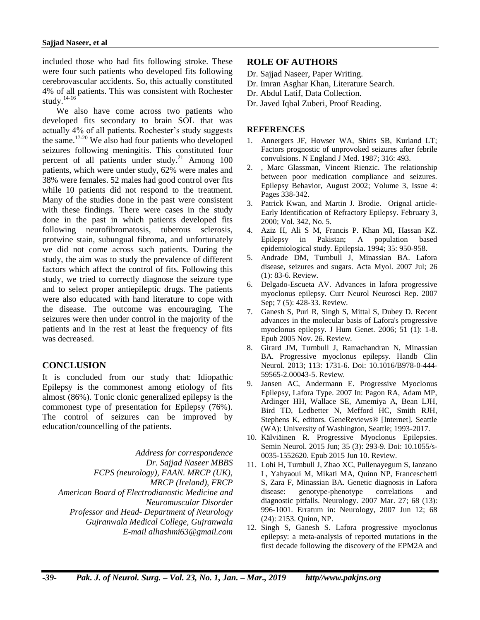included those who had fits following stroke. These were four such patients who developed fits following cerebrovascular accidents. So, this actually constituted 4% of all patients. This was consistent with Rochester study. 14-16

We also have come across two patients who developed fits secondary to brain SOL that was actually 4% of all patients. Rochester's study suggests the same.<sup>17-20</sup> We also had four patients who developed seizures following meningitis. This constituted four percent of all patients under study.<sup>21</sup> Among 100 patients, which were under study, 62% were males and 38% were females. 52 males had good control over fits while 10 patients did not respond to the treatment. Many of the studies done in the past were consistent with these findings. There were cases in the study done in the past in which patients developed fits following neurofibromatosis, tuberous sclerosis, protwine stain, subungual fibroma, and unfortunately we did not come across such patients. During the study, the aim was to study the prevalence of different factors which affect the control of fits. Following this study, we tried to correctly diagnose the seizure type and to select proper antiepileptic drugs. The patients were also educated with hand literature to cope with the disease. The outcome was encouraging. The seizures were then under control in the majority of the patients and in the rest at least the frequency of fits was decreased.

# **CONCLUSION**

It is concluded from our study that: Idiopathic Epilepsy is the commonest among etiology of fits almost (86%). Tonic clonic generalized epilepsy is the commonest type of presentation for Epilepsy (76%). The control of seizures can be improved by education/councelling of the patients.

*Address for correspondence Dr. Sajjad Naseer MBBS FCPS (neurology), FAAN. MRCP (UK), MRCP (Ireland), FRCP American Board of Electrodianostic Medicine and Neuromuscular Disorder Professor and Head- Department of Neurology Gujranwala Medical College, Gujranwala E-mail [alhashmi63@gmail.com](mailto:alhashmi63@gmail.com)*

# **ROLE OF AUTHORS**

- Dr. Sajjad Naseer, Paper Writing.
- Dr. Imran Asghar Khan, Literature Search.
- Dr. Abdul Latif, Data Collection.
- Dr. Javed Iqbal Zuberi, Proof Reading.

#### **REFERENCES**

- 1. Annergers JF, Howser WA, Shirts SB, Kurland LT; Factors prognostic of unprovoked seizures after febrile convulsions. N England J Med. 1987; 316: 493.
- 2. [,](https://www.sciencedirect.com/science/article/pii/S1525505002000379) Marc Glassman, Vincent Rienzic. The relationship between poor medication compliance and seizures. Epilepsy [Behavior,](https://www.sciencedirect.com/science/journal/15255050) August 2002; [Volume 3, Issue 4:](https://www.sciencedirect.com/science/journal/15255050/3/4) Pages 338-342.
- 3. Patrick Kwan, and Martin J. Brodie. Orignal article-Early Identification of Refractory Epilepsy. February 3, 2000; Vol. 342, No. 5.
- 4. Aziz H, Ali S M, Francis P. Khan MI, Hassan KZ. Epilepsy in Pakistan; A population based epidemiological study. Epilepsia. 1994; 35: 950-958.
- 5. Andrade DM, Turnbull J, Minassian BA. Lafora disease, seizures and sugars. Acta Myol. 2007 Jul; 26 (1): 83-6. Review.
- 6. Delgado-Escueta AV. Advances in lafora progressive myoclonus epilepsy. Curr Neurol Neurosci Rep. 2007 Sep; 7 (5): 428-33. Review.
- 7. Ganesh S, Puri R, Singh S, Mittal S, Dubey D. Recent advances in the molecular basis of Lafora's progressive myoclonus epilepsy. J Hum Genet. 2006; 51 (1): 1-8. Epub 2005 Nov. 26. Review.
- 8. Girard JM, Turnbull J, Ramachandran N, Minassian BA. Progressive myoclonus epilepsy. Handb Clin Neurol. 2013; 113: 1731-6. Doi: 10.1016/B978-0-444- 59565-2.00043-5. Review.
- 9. Jansen AC, Andermann E. Progressive Myoclonus Epilepsy, Lafora Type. 2007 In: Pagon RA, Adam MP, Ardinger HH, Wallace SE, Amemiya A, Bean LJH, Bird TD, Ledbetter N, Mefford HC, Smith RJH, Stephens K, editors. GeneReviews® [Internet]. Seattle (WA): University of Washington, Seattle; 1993-2017.
- 10. Kälviäinen R. Progressive Myoclonus Epilepsies. Semin Neurol. 2015 Jun; 35 (3): 293-9. Doi: 10.1055/s-0035-1552620. Epub 2015 Jun 10. Review.
- 11. Lohi H, Turnbull J, Zhao XC, Pullenayegum S, Ianzano L, Yahyaoui M, Mikati MA, Quinn NP, Franceschetti S, Zara F, Minassian BA. Genetic diagnosis in Lafora disease: genotype-phenotype correlations and diagnostic pitfalls. Neurology. 2007 Mar. 27; 68 (13): 996-1001. Erratum in: Neurology, 2007 Jun 12; 68 (24): 2153. Quinn, NP.
- 12. Singh S, Ganesh S. Lafora progressive myoclonus epilepsy: a meta-analysis of reported mutations in the first decade following the discovery of the EPM2A and